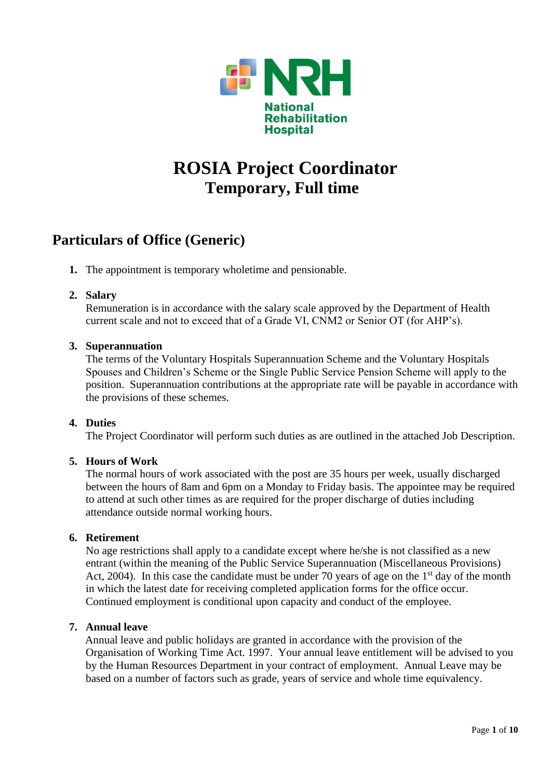

# **ROSIA Project Coordinator Temporary, Full time**

## **Particulars of Office (Generic)**

**1.** The appointment is temporary wholetime and pensionable.

## **2. Salary**

Remuneration is in accordance with the salary scale approved by the Department of Health current scale and not to exceed that of a Grade VI, CNM2 or Senior OT (for AHP's).

#### **3. Superannuation**

The terms of the Voluntary Hospitals Superannuation Scheme and the Voluntary Hospitals Spouses and Children's Scheme or the Single Public Service Pension Scheme will apply to the position. Superannuation contributions at the appropriate rate will be payable in accordance with the provisions of these schemes.

## **4. Duties**

The Project Coordinator will perform such duties as are outlined in the attached Job Description.

#### **5. Hours of Work**

The normal hours of work associated with the post are 35 hours per week, usually discharged between the hours of 8am and 6pm on a Monday to Friday basis. The appointee may be required to attend at such other times as are required for the proper discharge of duties including attendance outside normal working hours.

#### **6. Retirement**

No age restrictions shall apply to a candidate except where he/she is not classified as a new entrant (within the meaning of the Public Service Superannuation (Miscellaneous Provisions) Act, 2004). In this case the candidate must be under 70 years of age on the  $1<sup>st</sup>$  day of the month in which the latest date for receiving completed application forms for the office occur. Continued employment is conditional upon capacity and conduct of the employee.

#### **7. Annual leave**

Annual leave and public holidays are granted in accordance with the provision of the Organisation of Working Time Act. 1997. Your annual leave entitlement will be advised to you by the Human Resources Department in your contract of employment. Annual Leave may be based on a number of factors such as grade, years of service and whole time equivalency.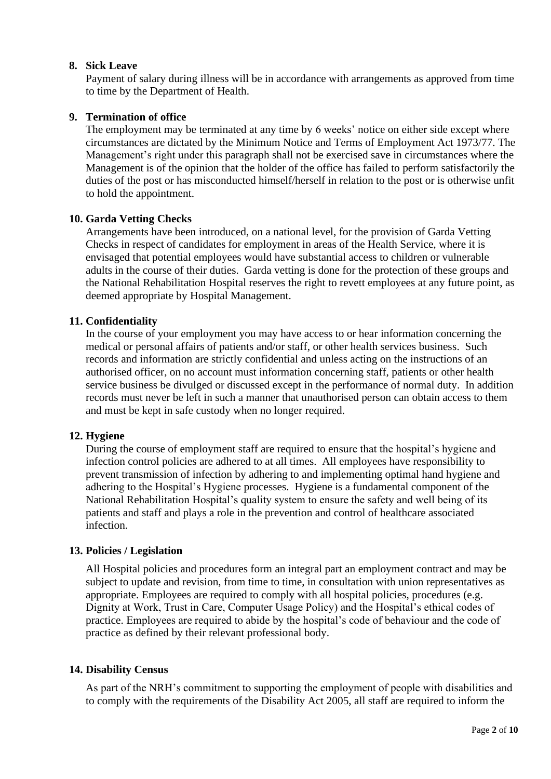### **8. Sick Leave**

Payment of salary during illness will be in accordance with arrangements as approved from time to time by the Department of Health.

### **9. Termination of office**

The employment may be terminated at any time by 6 weeks' notice on either side except where circumstances are dictated by the Minimum Notice and Terms of Employment Act 1973/77. The Management's right under this paragraph shall not be exercised save in circumstances where the Management is of the opinion that the holder of the office has failed to perform satisfactorily the duties of the post or has misconducted himself/herself in relation to the post or is otherwise unfit to hold the appointment.

## **10. Garda Vetting Checks**

Arrangements have been introduced, on a national level, for the provision of Garda Vetting Checks in respect of candidates for employment in areas of the Health Service, where it is envisaged that potential employees would have substantial access to children or vulnerable adults in the course of their duties. Garda vetting is done for the protection of these groups and the National Rehabilitation Hospital reserves the right to revett employees at any future point, as deemed appropriate by Hospital Management.

## **11. Confidentiality**

In the course of your employment you may have access to or hear information concerning the medical or personal affairs of patients and/or staff, or other health services business. Such records and information are strictly confidential and unless acting on the instructions of an authorised officer, on no account must information concerning staff, patients or other health service business be divulged or discussed except in the performance of normal duty. In addition records must never be left in such a manner that unauthorised person can obtain access to them and must be kept in safe custody when no longer required.

#### **12. Hygiene**

During the course of employment staff are required to ensure that the hospital's hygiene and infection control policies are adhered to at all times. All employees have responsibility to prevent transmission of infection by adhering to and implementing optimal hand hygiene and adhering to the Hospital's Hygiene processes. Hygiene is a fundamental component of the National Rehabilitation Hospital's quality system to ensure the safety and well being of its patients and staff and plays a role in the prevention and control of healthcare associated infection.

#### **13. Policies / Legislation**

All Hospital policies and procedures form an integral part an employment contract and may be subject to update and revision, from time to time, in consultation with union representatives as appropriate. Employees are required to comply with all hospital policies, procedures (e.g. Dignity at Work, Trust in Care, Computer Usage Policy) and the Hospital's ethical codes of practice. Employees are required to abide by the hospital's code of behaviour and the code of practice as defined by their relevant professional body.

#### **14. Disability Census**

As part of the NRH's commitment to supporting the employment of people with disabilities and to comply with the requirements of the Disability Act 2005, all staff are required to inform the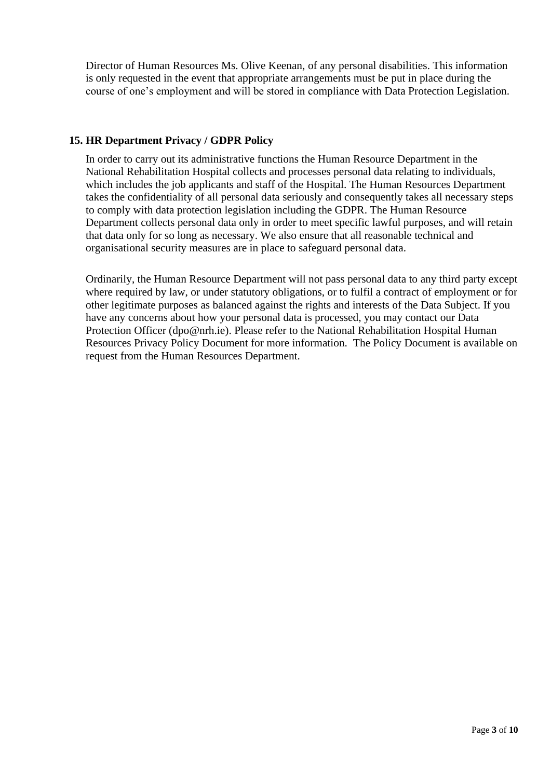Director of Human Resources Ms. Olive Keenan, of any personal disabilities. This information is only requested in the event that appropriate arrangements must be put in place during the course of one's employment and will be stored in compliance with Data Protection Legislation.

## **15. HR Department Privacy / GDPR Policy**

In order to carry out its administrative functions the Human Resource Department in the National Rehabilitation Hospital collects and processes personal data relating to individuals, which includes the job applicants and staff of the Hospital. The Human Resources Department takes the confidentiality of all personal data seriously and consequently takes all necessary steps to comply with data protection legislation including the GDPR. The Human Resource Department collects personal data only in order to meet specific lawful purposes, and will retain that data only for so long as necessary. We also ensure that all reasonable technical and organisational security measures are in place to safeguard personal data.

Ordinarily, the Human Resource Department will not pass personal data to any third party except where required by law, or under statutory obligations, or to fulfil a contract of employment or for other legitimate purposes as balanced against the rights and interests of the Data Subject. If you have any concerns about how your personal data is processed, you may contact our Data Protection Officer [\(dpo@nrh.ie\)](mailto:dpo@nrh.ie). Please refer to the National Rehabilitation Hospital Human Resources Privacy Policy Document for more information. The Policy Document is available on request from the Human Resources Department.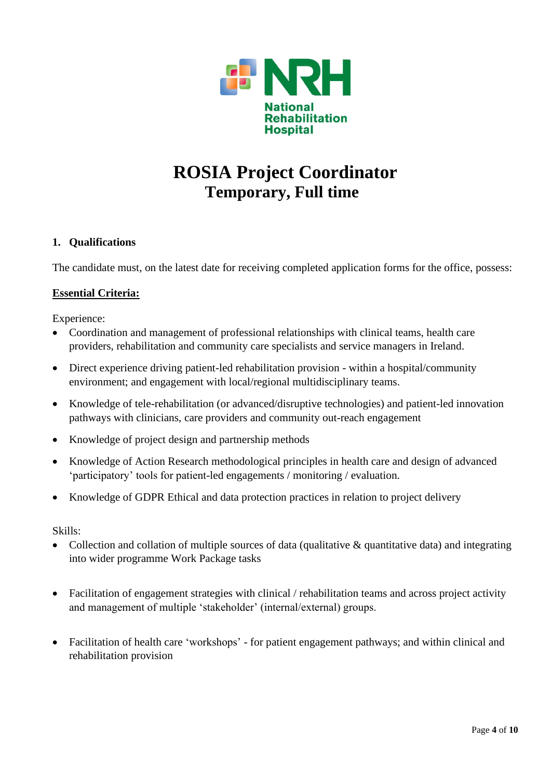

# **ROSIA Project Coordinator Temporary, Full time**

## **1. Qualifications**

The candidate must, on the latest date for receiving completed application forms for the office, possess:

## **Essential Criteria:**

Experience:

- Coordination and management of professional relationships with clinical teams, health care providers, rehabilitation and community care specialists and service managers in Ireland.
- Direct experience driving patient-led rehabilitation provision within a hospital/community environment; and engagement with local/regional multidisciplinary teams.
- Knowledge of tele-rehabilitation (or advanced/disruptive technologies) and patient-led innovation pathways with clinicians, care providers and community out-reach engagement
- Knowledge of project design and partnership methods
- Knowledge of Action Research methodological principles in health care and design of advanced 'participatory' tools for patient-led engagements / monitoring / evaluation.
- Knowledge of GDPR Ethical and data protection practices in relation to project delivery

Skills:

- Collection and collation of multiple sources of data (qualitative  $\&$  quantitative data) and integrating into wider programme Work Package tasks
- Facilitation of engagement strategies with clinical / rehabilitation teams and across project activity and management of multiple 'stakeholder' (internal/external) groups.
- Facilitation of health care 'workshops' for patient engagement pathways; and within clinical and rehabilitation provision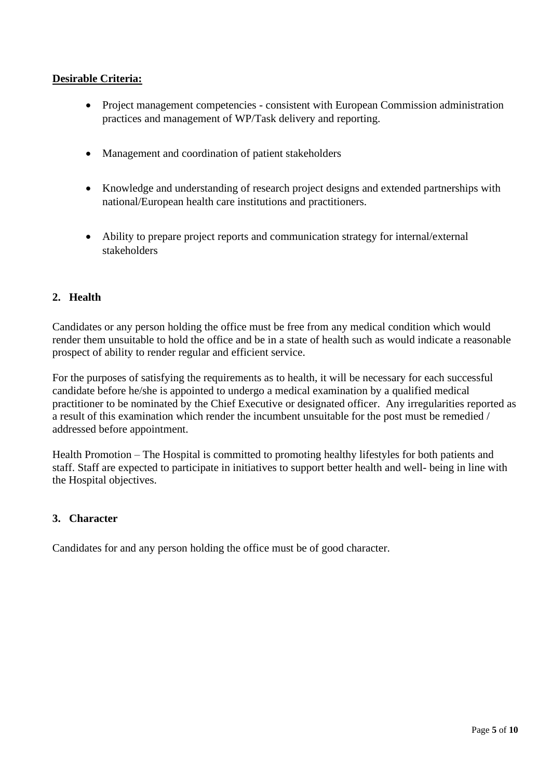## **Desirable Criteria:**

- Project management competencies consistent with European Commission administration practices and management of WP/Task delivery and reporting.
- Management and coordination of patient stakeholders
- Knowledge and understanding of research project designs and extended partnerships with national/European health care institutions and practitioners.
- Ability to prepare project reports and communication strategy for internal/external stakeholders

## **2. Health**

Candidates or any person holding the office must be free from any medical condition which would render them unsuitable to hold the office and be in a state of health such as would indicate a reasonable prospect of ability to render regular and efficient service.

For the purposes of satisfying the requirements as to health, it will be necessary for each successful candidate before he/she is appointed to undergo a medical examination by a qualified medical practitioner to be nominated by the Chief Executive or designated officer. Any irregularities reported as a result of this examination which render the incumbent unsuitable for the post must be remedied / addressed before appointment.

Health Promotion – The Hospital is committed to promoting healthy lifestyles for both patients and staff. Staff are expected to participate in initiatives to support better health and well- being in line with the Hospital objectives.

## **3. Character**

Candidates for and any person holding the office must be of good character.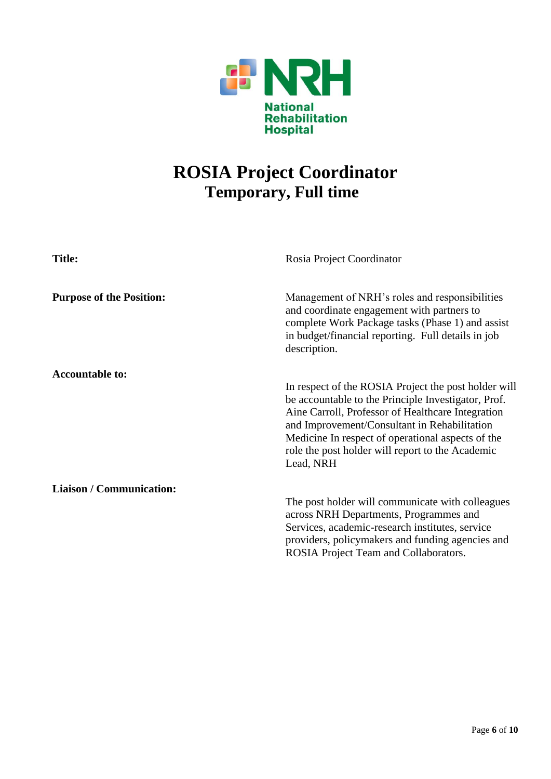

# **ROSIA Project Coordinator Temporary, Full time**

| <b>Title:</b>                   | Rosia Project Coordinator                                                                                                                                                                                                                                                                                                              |
|---------------------------------|----------------------------------------------------------------------------------------------------------------------------------------------------------------------------------------------------------------------------------------------------------------------------------------------------------------------------------------|
| <b>Purpose of the Position:</b> | Management of NRH's roles and responsibilities<br>and coordinate engagement with partners to<br>complete Work Package tasks (Phase 1) and assist<br>in budget/financial reporting. Full details in job<br>description.                                                                                                                 |
| <b>Accountable to:</b>          | In respect of the ROSIA Project the post holder will<br>be accountable to the Principle Investigator, Prof.<br>Aine Carroll, Professor of Healthcare Integration<br>and Improvement/Consultant in Rehabilitation<br>Medicine In respect of operational aspects of the<br>role the post holder will report to the Academic<br>Lead, NRH |
| <b>Liaison / Communication:</b> | The post holder will communicate with colleagues<br>across NRH Departments, Programmes and<br>Services, academic-research institutes, service<br>providers, policymakers and funding agencies and<br>ROSIA Project Team and Collaborators.                                                                                             |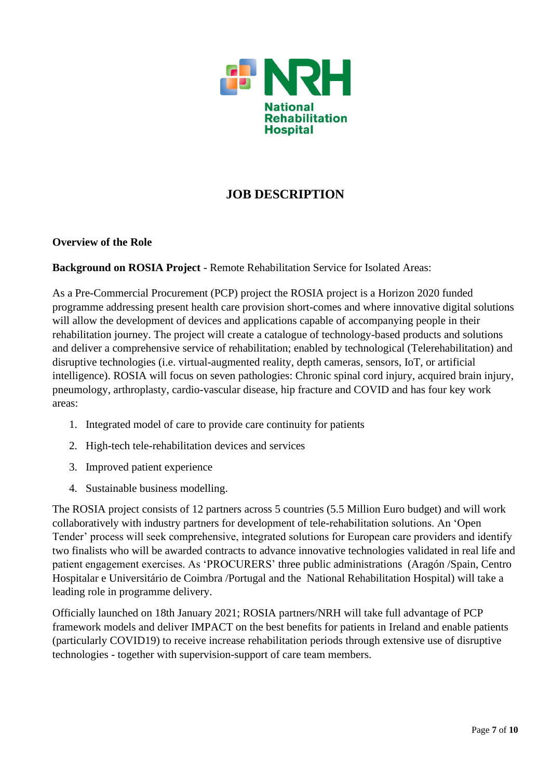

## **JOB DESCRIPTION**

## **Overview of the Role**

**Background on ROSIA Project** - Remote Rehabilitation Service for Isolated Areas:

As a Pre-Commercial Procurement (PCP) project the ROSIA project is a Horizon 2020 funded programme addressing present health care provision short-comes and where innovative digital solutions will allow the development of devices and applications capable of accompanying people in their rehabilitation journey. The project will create a catalogue of technology-based products and solutions and deliver a comprehensive service of rehabilitation; enabled by technological (Telerehabilitation) and disruptive technologies (i.e. virtual-augmented reality, depth cameras, sensors, IoT, or artificial intelligence). ROSIA will focus on seven pathologies: Chronic spinal cord injury, acquired brain injury, pneumology, arthroplasty, cardio-vascular disease, hip fracture and COVID and has four key work areas:

- 1. Integrated model of care to provide care continuity for patients
- 2. High-tech tele-rehabilitation devices and services
- 3. Improved patient experience
- 4. Sustainable business modelling.

The ROSIA project consists of 12 partners across 5 countries (5.5 Million Euro budget) and will work collaboratively with industry partners for development of tele-rehabilitation solutions. An 'Open Tender' process will seek comprehensive, integrated solutions for European care providers and identify two finalists who will be awarded contracts to advance innovative technologies validated in real life and patient engagement exercises. As 'PROCURERS' three public administrations (Aragón /Spain, Centro Hospitalar e Universitário de Coimbra /Portugal and the National Rehabilitation Hospital) will take a leading role in programme delivery.

Officially launched on 18th January 2021; ROSIA partners/NRH will take full advantage of PCP framework models and deliver IMPACT on the best benefits for patients in Ireland and enable patients (particularly COVID19) to receive increase rehabilitation periods through extensive use of disruptive technologies - together with supervision-support of care team members.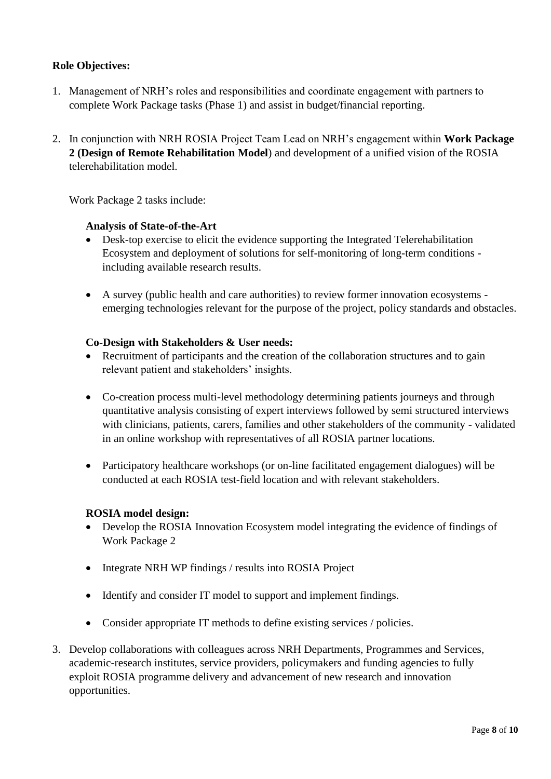## **Role Objectives:**

- 1. Management of NRH's roles and responsibilities and coordinate engagement with partners to complete Work Package tasks (Phase 1) and assist in budget/financial reporting.
- 2. In conjunction with NRH ROSIA Project Team Lead on NRH's engagement within **Work Package 2 (Design of Remote Rehabilitation Model**) and development of a unified vision of the ROSIA telerehabilitation model.

Work Package 2 tasks include:

#### **Analysis of State-of-the-Art**

- Desk-top exercise to elicit the evidence supporting the Integrated Telerehabilitation Ecosystem and deployment of solutions for self-monitoring of long-term conditions including available research results.
- A survey (public health and care authorities) to review former innovation ecosystems emerging technologies relevant for the purpose of the project, policy standards and obstacles.

## **Co-Design with Stakeholders & User needs:**

- Recruitment of participants and the creation of the collaboration structures and to gain relevant patient and stakeholders' insights.
- Co-creation process multi-level methodology determining patients journeys and through quantitative analysis consisting of expert interviews followed by semi structured interviews with clinicians, patients, carers, families and other stakeholders of the community - validated in an online workshop with representatives of all ROSIA partner locations.
- Participatory healthcare workshops (or on-line facilitated engagement dialogues) will be conducted at each ROSIA test-field location and with relevant stakeholders.

#### **ROSIA model design:**

- Develop the ROSIA Innovation Ecosystem model integrating the evidence of findings of Work Package 2
- Integrate NRH WP findings / results into ROSIA Project
- Identify and consider IT model to support and implement findings.
- Consider appropriate IT methods to define existing services / policies.
- 3. Develop collaborations with colleagues across NRH Departments, Programmes and Services, academic-research institutes, service providers, policymakers and funding agencies to fully exploit ROSIA programme delivery and advancement of new research and innovation opportunities.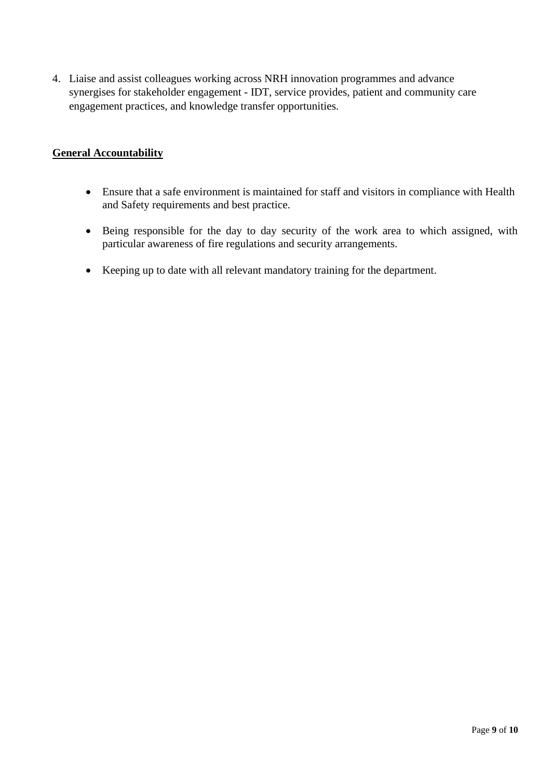4. Liaise and assist colleagues working across NRH innovation programmes and advance synergises for stakeholder engagement - IDT, service provides, patient and community care engagement practices, and knowledge transfer opportunities.

## **General Accountability**

- Ensure that a safe environment is maintained for staff and visitors in compliance with Health and Safety requirements and best practice.
- Being responsible for the day to day security of the work area to which assigned, with particular awareness of fire regulations and security arrangements.
- Keeping up to date with all relevant mandatory training for the department.